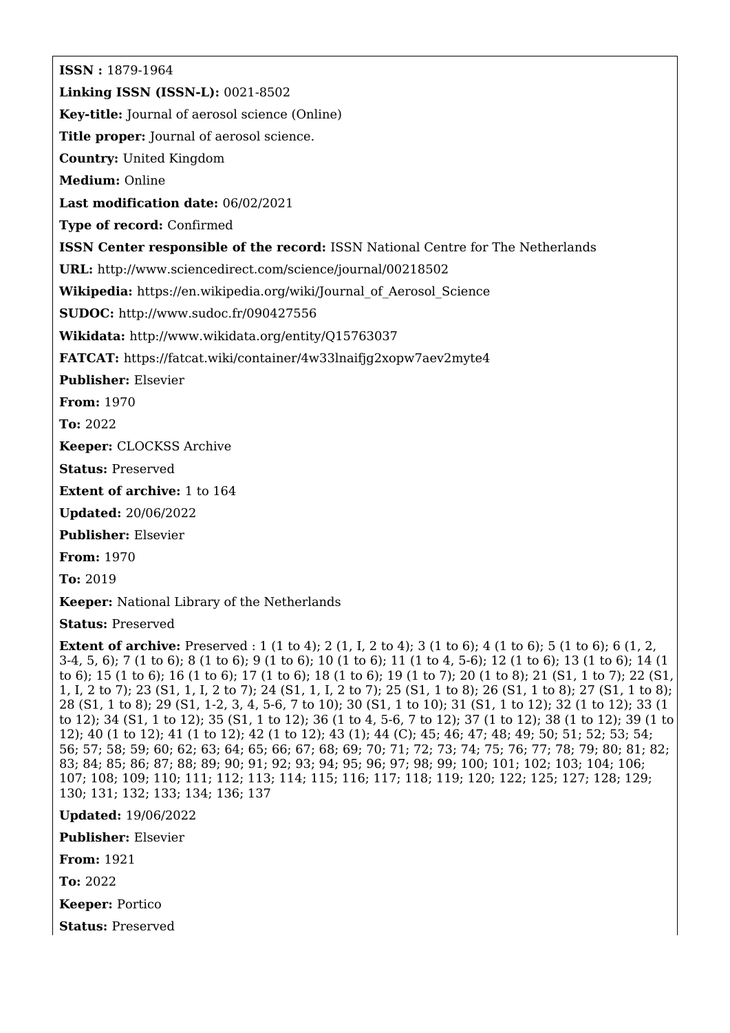**ISSN :** 1879-1964 **Linking ISSN (ISSN-L):** 0021-8502 **Key-title:** Journal of aerosol science (Online) **Title proper:** Journal of aerosol science. **Country:** United Kingdom **Medium:** Online **Last modification date:** 06/02/2021 **Type of record:** Confirmed **ISSN Center responsible of the record:** ISSN National Centre for The Netherlands **URL:** <http://www.sciencedirect.com/science/journal/00218502> **Wikipedia:** [https://en.wikipedia.org/wiki/Journal\\_of\\_Aerosol\\_Science](https://en.wikipedia.org/wiki/Journal_of_Aerosol_Science) **SUDOC:** <http://www.sudoc.fr/090427556> **Wikidata:** <http://www.wikidata.org/entity/Q15763037> **FATCAT:** <https://fatcat.wiki/container/4w33lnaifjg2xopw7aev2myte4> **Publisher:** Elsevier **From:** 1970 **To:** 2022 **Keeper:** CLOCKSS Archive

**Status:** Preserved

**Extent of archive:** 1 to 164

**Updated:** 20/06/2022

**Publisher:** Elsevier

**From:** 1970

**To:** 2019

**Keeper:** National Library of the Netherlands

**Status:** Preserved

**Extent of archive:** Preserved : 1 (1 to 4); 2 (1, I, 2 to 4); 3 (1 to 6); 4 (1 to 6); 5 (1 to 6); 6 (1, 2, 3-4, 5, 6); 7 (1 to 6); 8 (1 to 6); 9 (1 to 6); 10 (1 to 6); 11 (1 to 4, 5-6); 12 (1 to 6); 13 (1 to 6); 14 (1 to 6); 15 (1 to 6); 16 (1 to 6); 17 (1 to 6); 18 (1 to 6); 19 (1 to 7); 20 (1 to 8); 21 (S1, 1 to 7); 22 (S1, 1, I, 2 to 7); 23 (S1, 1, I, 2 to 7); 24 (S1, 1, I, 2 to 7); 25 (S1, 1 to 8); 26 (S1, 1 to 8); 27 (S1, 1 to 8); 28 (S1, 1 to 8); 29 (S1, 1-2, 3, 4, 5-6, 7 to 10); 30 (S1, 1 to 10); 31 (S1, 1 to 12); 32 (1 to 12); 33 (1 to 12); 34 (S1, 1 to 12); 35 (S1, 1 to 12); 36 (1 to 4, 5-6, 7 to 12); 37 (1 to 12); 38 (1 to 12); 39 (1 to 12); 40 (1 to 12); 41 (1 to 12); 42 (1 to 12); 43 (1); 44 (C); 45; 46; 47; 48; 49; 50; 51; 52; 53; 54; 56; 57; 58; 59; 60; 62; 63; 64; 65; 66; 67; 68; 69; 70; 71; 72; 73; 74; 75; 76; 77; 78; 79; 80; 81; 82; 83; 84; 85; 86; 87; 88; 89; 90; 91; 92; 93; 94; 95; 96; 97; 98; 99; 100; 101; 102; 103; 104; 106; 107; 108; 109; 110; 111; 112; 113; 114; 115; 116; 117; 118; 119; 120; 122; 125; 127; 128; 129; 130; 131; 132; 133; 134; 136; 137

**Updated:** 19/06/2022

**Publisher:** Elsevier

**From:** 1921

**To:** 2022

**Keeper:** Portico

**Status:** Preserved